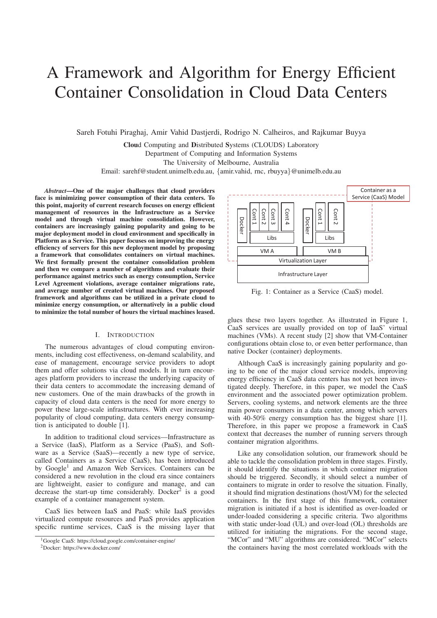# A Framework and Algorithm for Energy Efficient Container Consolidation in Cloud Data Centers

Sareh Fotuhi Piraghaj, Amir Vahid Dastjerdi, Rodrigo N. Calheiros, and Rajkumar Buyya

Cloud Computing and Distributed Systems (CLOUDS) Laboratory Department of Computing and Information Systems The University of Melbourne, Australia Email: sarehf@student.unimelb.edu.au, {amir.vahid, rnc, rbuyya}@unimelb.edu.au

*Abstract*—One of the major challenges that cloud providers face is minimizing power consumption of their data centers. To this point, majority of current research focuses on energy efficient management of resources in the Infrastructure as a Service model and through virtual machine consolidation. However, containers are increasingly gaining popularity and going to be major deployment model in cloud environment and specifically in Platform as a Service. This paper focuses on improving the energy efficiency of servers for this new deployment model by proposing a framework that consolidates containers on virtual machines. We first formally present the container consolidation problem and then we compare a number of algorithms and evaluate their performance against metrics such as energy consumption, Service Level Agreement violations, average container migrations rate, and average number of created virtual machines. Our proposed framework and algorithms can be utilized in a private cloud to minimize energy consumption, or alternatively in a public cloud to minimize the total number of hours the virtual machines leased.

# I. INTRODUCTION

The numerous advantages of cloud computing environments, including cost effectiveness, on-demand scalability, and ease of management, encourage service providers to adopt them and offer solutions via cloud models. It in turn encourages platform providers to increase the underlying capacity of their data centers to accommodate the increasing demand of new customers. One of the main drawbacks of the growth in capacity of cloud data centers is the need for more energy to power these large-scale infrastructures. With ever increasing popularity of cloud computing, data centers energy consumption is anticipated to double [1].

In addition to traditional cloud services—Infrastructure as a Service (IaaS), Platform as a Service (PaaS), and Software as a Service (SaaS)—recently a new type of service, called Containers as a Service (CaaS), has been introduced by Google<sup>1</sup> and Amazon Web Services. Containers can be considered a new revolution in the cloud era since containers are lightweight, easier to configure and manage, and can decrease the start-up time considerably. Docker<sup>2</sup> is a good example of a container management system.

CaaS lies between IaaS and PaaS: while IaaS provides virtualized compute resources and PaaS provides application specific runtime services, CaaS is the missing layer that



Fig. 1: Container as a Service (CaaS) model.

glues these two layers together. As illustrated in Figure 1, CaaS services are usually provided on top of IaaS' virtual machines (VMs). A recent study [2] show that VM-Container configurations obtain close to, or even better performance, than native Docker (container) deployments.

Although CaaS is increasingly gaining popularity and going to be one of the major cloud service models, improving energy efficiency in CaaS data centers has not yet been investigated deeply. Therefore, in this paper, we model the CaaS environment and the associated power optimization problem. Servers, cooling systems, and network elements are the three main power consumers in a data center, among which servers with 40-50% energy consumption has the biggest share [1]. Therefore, in this paper we propose a framework in CaaS context that decreases the number of running servers through container migration algorithms.

Like any consolidation solution, our framework should be able to tackle the consolidation problem in three stages. Firstly, it should identify the situations in which container migration should be triggered. Secondly, it should select a number of containers to migrate in order to resolve the situation. Finally, it should find migration destinations (host/VM) for the selected containers. In the first stage of this framework, container migration is initiated if a host is identified as over-loaded or under-loaded considering a specific criteria. Two algorithms with static under-load (UL) and over-load (OL) thresholds are utilized for initiating the migrations. For the second stage, "MCor" and "MU" algorithms are considered. "MCor" selects the containers having the most correlated workloads with the

<sup>1</sup>Google CaaS: https://cloud.google.com/container-engine/

<sup>2</sup>Docker: https://www.docker.com/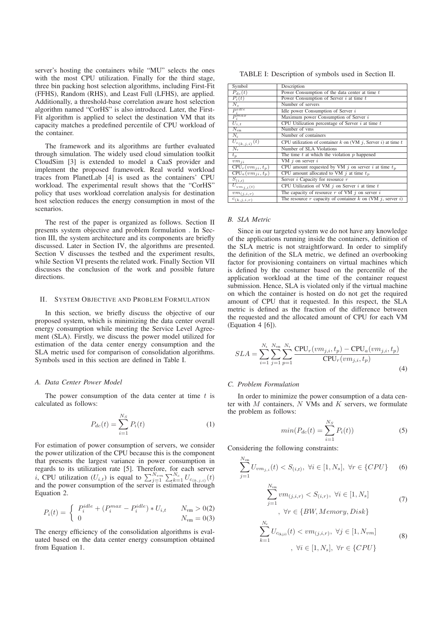server's hosting the containers while "MU" selects the ones with the most CPU utilization. Finally for the third stage, three bin packing host selection algorithms, including First-Fit (FFHS), Random (RHS), and Least Full (LFHS), are applied. Additionally, a threshold-base correlation aware host selection algorithm named "CorHS" is also introduced. Later, the First-Fit algorithm is applied to select the destination VM that its capacity matches a predefined percentile of CPU workload of the container.

The framework and its algorithms are further evaluated through simulation. The widely used cloud simulation toolkit CloudSim [3] is extended to model a CaaS provider and implement the proposed framework. Real world workload traces from PlanetLab [4] is used as the containers' CPU workload. The experimental result shows that the "CorHS" policy that uses workload correlation analysis for destination host selection reduces the energy consumption in most of the scenarios.

The rest of the paper is organized as follows. Section II presents system objective and problem formulation . In Section III, the system architecture and its components are briefly discussed. Later in Section IV, the algorithms are presented. Section V discusses the testbed and the experiment results, while Section VI presents the related work. Finally Section VII discusses the conclusion of the work and possible future directions.

## II. SYSTEM OBJECTIVE AND PROBLEM FORMULATION

In this section, we briefly discuss the objective of our proposed system, which is minimizing the data center overall energy consumption while meeting the Service Level Agreement (SLA). Firstly, we discuss the power model utilized for estimation of the data center energy consumption and the SLA metric used for comparison of consolidation algorithms. Symbols used in this section are defined in Table I.

#### *A. Data Center Power Model*

The power consumption of the data center at time  $t$  is calculated as follows:

$$
P_{dc}(t) = \sum_{i=1}^{N_S} P_i(t)
$$
 (1)

For estimation of power consumption of servers, we consider the power utilization of the CPU because this is the component that presents the largest variance in power consumption in regards to its utilization rate [5]. Therefore, for each server i, CPU utilization  $(U_{i,t})$  is equal to  $\sum_{j=1}^{N_{vm}} \sum_{k=1}^{N_c} U_{c_{(k,j,i)}}(t)$ and the power consumption of the server is estimated through Equation 2.

$$
P_i(t) = \begin{cases} P_i^{idle} + (P_i^{max} - P_i^{idle}) * U_{i,t} & N_{vm} > 0.2 \\ 0 & N_{vm} = 0.3 \end{cases}
$$

The energy efficiency of the consolidation algorithms is evaluated based on the data center energy consumption obtained from Equation 1.

TABLE I: Description of symbols used in Section II.

| Symbol                                                                                   | Description                                                            |  |  |  |
|------------------------------------------------------------------------------------------|------------------------------------------------------------------------|--|--|--|
| Power Consumption of the data center at time $t$<br>$P_{dc}(t)$                          |                                                                        |  |  |  |
| $P_i(t)$                                                                                 | Power Consumption of Server $i$ at time $t$                            |  |  |  |
| $\overline{N}_s$                                                                         | Number of servers                                                      |  |  |  |
| $\frac{P_i^{idle}}{P_i^{max}}$                                                           | Idle power Consumption of Server $i$                                   |  |  |  |
|                                                                                          | Maximum power Consumption of Server i                                  |  |  |  |
| $\overline{U}_{i,\underline{t}}$<br>CPU Utilization percentage of Server $i$ at time $t$ |                                                                        |  |  |  |
| Number of vms<br>$\overline{N}_{\rm vn}$                                                 |                                                                        |  |  |  |
| Number of containers<br>$\overline{N}_{\rm c}$                                           |                                                                        |  |  |  |
| $U_{c_{(k,j,i)}}(t)$                                                                     | CPU utilization of container $k$ on (VM $j$ , Server $i$ ) at time $t$ |  |  |  |
| $N_{\rm v}$<br>Number of SLA Violations                                                  |                                                                        |  |  |  |
| $t_p$                                                                                    | The time $t$ at which the violation $p$ happened                       |  |  |  |
| $vm_{ji}$                                                                                | VM $j$ on server $i$                                                   |  |  |  |
| $\overline{\text{CPU}}_r(vm_{ji}, t_p)$                                                  | CPU amount requested by VM $j$ on server i at time $t_n$               |  |  |  |
| $\overline{\text{CPU}_a(vm_{ji}, t_p)}$<br>CPU amount allocated to VM $j$ at time $t_n$  |                                                                        |  |  |  |
| $\overline{S}_{(i,\text{r})}$                                                            | Server $i$ Capacity for resource $r$                                   |  |  |  |
| $U_{vmj,i}(t)$                                                                           | CPU Utilization of VM $j$ on Server $i$ at time $t$                    |  |  |  |
| $vm_{(j,i,r)}$                                                                           | The capacity of resource $r$ of VM $j$ on server $i$                   |  |  |  |
| $c_{(k,j,i,r)}$                                                                          | The resource r capacity of container k on $(VM j, s)$ , server i)      |  |  |  |

## *B. SLA Metric*

Since in our targeted system we do not have any knowledge of the applications running inside the containers, definition of the SLA metric is not straightforward. In order to simplify the definition of the SLA metric, we defined an overbooking factor for provisioning containers on virtual machines which is defined by the costumer based on the percentile of the application workload at the time of the container request submission. Hence, SLA is violated only if the virtual machine on which the container is hosted on do not get the required amount of CPU that it requested. In this respect, the SLA metric is defined as the fraction of the difference between the requested and the allocated amount of CPU for each VM (Equation 4 [6]).

$$
SLA = \sum_{i=1}^{N_s} \sum_{j=1}^{N_{\rm vn}} \sum_{p=1}^{N_{\rm v}} \frac{\text{CPU}_r(vm_{j,i}, t_p) - \text{CPU}_a(vm_{j,i}, t_p)}{\text{CPU}_r(vm_{j,i}, t_p)}
$$
\n(4)

## *C. Problem Formulation*

In order to minimize the power consumption of a data center with  $M$  containers,  $N$  VMs and  $K$  servers, we formulate the problem as follows:

$$
min(P_{dc}(t) = \sum_{i=1}^{N_S} P_i(t))
$$
\n(5)

Considering the following constraints:

$$
\sum_{j=1}^{N_{\text{vm}}} U_{vm_{j,i}}(t) < S_{(i,r)}, \ \forall i \in [1, N_s], \ \forall r \in \{CPU\} \tag{6}
$$

$$
\sum_{j=1}^{N_{\text{vm}}} v m_{(j,i,r)} < S_{(i,r)}, \ \forall i \in [1, N_s]
$$
\n
$$
\forall r \in \{BW, Memory, Disk\} \tag{7}
$$

$$
\sum_{k=1}^{N_c} U_{c_{(k,j,i)}}(t) < v m_{(j,i,r)}, \ \forall j \in [1, N_{vm}]
$$
\n
$$
\forall i \in [1, N_s], \ \forall r \in \{CPU\}
$$
\n
$$
(8)
$$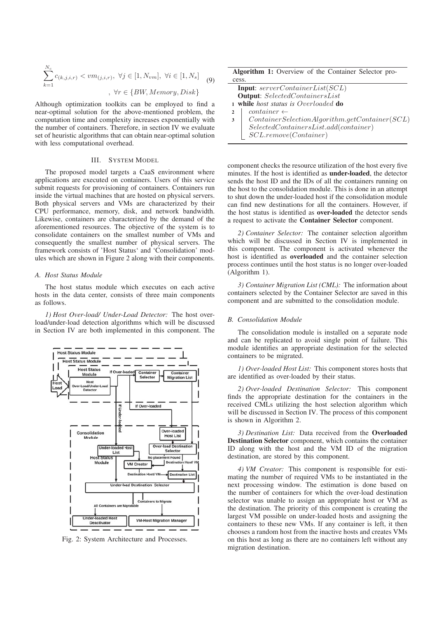$$
\sum_{k=1}^{N_c} c_{(k,j,i,r)} < v m_{(j,i,r)}, \ \forall j \in [1, N_{vm}], \ \forall i \in [1, N_s] \tag{9}
$$
\n
$$
\forall r \in \{BW, Memory, Disk\}
$$

Although optimization toolkits can be employed to find a near-optimal solution for the above-mentioned problem, the computation time and complexity increases exponentially with the number of containers. Therefore, in section IV we evaluate set of heuristic algorithms that can obtain near-optimal solution with less computational overhead.

# III. SYSTEM MODEL

The proposed model targets a CaaS environment where applications are executed on containers. Users of this service submit requests for provisioning of containers. Containers run inside the virtual machines that are hosted on physical servers. Both physical servers and VMs are characterized by their CPU performance, memory, disk, and network bandwidth. Likewise, containers are characterized by the demand of the aforementioned resources. The objective of the system is to consolidate containers on the smallest number of VMs and consequently the smallest number of physical servers. The framework consists of 'Host Status' and 'Consolidation' modules which are shown in Figure 2 along with their components.

#### *A. Host Status Module*

The host status module which executes on each active hosts in the data center, consists of three main components as follows.

*1) Host Over-load/ Under-Load Detector:* The host overload/under-load detection algorithms which will be discussed in Section IV are both implemented in this component. The



Fig. 2: System Architecture and Processes.

Algorithm 1: Overview of the Container Selector process.

|             | <b>Input:</b> $serverContainerList(SCL)$         |
|-------------|--------------------------------------------------|
|             | <b>Output:</b> SelectedContainersList            |
|             | 1 while host status is Overloaded do             |
| $2^{\circ}$ | $container \leftarrow$                           |
| $3 \mid$    | $Container SelectionAlgorithm.getContainer(SCL)$ |
|             |                                                  |
|             | $SCL$ remove(Container)                          |

component checks the resource utilization of the host every five minutes. If the host is identified as under-loaded, the detector sends the host ID and the IDs of all the containers running on the host to the consolidation module. This is done in an attempt to shut down the under-loaded host if the consolidation module can find new destinations for all the containers. However, if the host status is identified as over-loaded the detector sends a request to activate the Container Selector component.

*2) Container Selector:* The container selection algorithm which will be discussed in Section IV is implemented in this component. The component is activated whenever the host is identified as overloaded and the container selection process continues until the host status is no longer over-loaded (Algorithm 1).

*3) Container Migration List (CML):* The information about containers selected by the Container Selector are saved in this component and are submitted to the consolidation module.

#### *B. Consolidation Module*

The consolidation module is installed on a separate node and can be replicated to avoid single point of failure. This module identifies an appropriate destination for the selected containers to be migrated.

*1) Over-loaded Host List:* This component stores hosts that are identified as over-loaded by their status.

*2) Over-loaded Destination Selector:* This component finds the appropriate destination for the containers in the received CMLs utilizing the host selection algorithm which will be discussed in Section IV. The process of this component is shown in Algorithm 2.

*3) Destination List:* Data received from the Overloaded Destination Selector component, which contains the container ID along with the host and the VM ID of the migration destination, are stored by this component.

*4) VM Creator:* This component is responsible for estimating the number of required VMs to be instantiated in the next processing window. The estimation is done based on the number of containers for which the over-load destination selector was unable to assign an appropriate host or VM as the destination. The priority of this component is creating the largest VM possible on under-loaded hosts and assigning the containers to these new VMs. If any container is left, it then chooses a random host from the inactive hosts and creates VMs on this host as long as there are no containers left without any migration destination.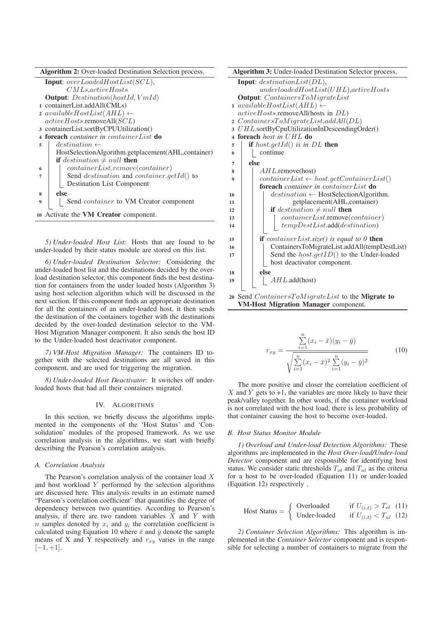| Algorithm 2: Over-loaded Destination Selection process.       |  |  |  |  |
|---------------------------------------------------------------|--|--|--|--|
| <b>Input:</b> $overLoadedHostList(SCL)$ ,                     |  |  |  |  |
| CMLs, active Hosts                                            |  |  |  |  |
| <b>Output:</b> Destination(hostId, VmId)                      |  |  |  |  |
| 1 containerList.addAll(CMLs)                                  |  |  |  |  |
| 2 availableHostList(AHL) $\leftarrow$                         |  |  |  |  |
| $active Hosts$ .removeAll $(SCL)$                             |  |  |  |  |
| 3 containerList.sortByCPUUtilization()                        |  |  |  |  |
| foreach container in container List do<br>$\overline{4}$      |  |  |  |  |
| $destination \leftarrow$<br>5                                 |  |  |  |  |
| HostSelectionAlgorithm.getplacement(AHL,container)            |  |  |  |  |
| if destination $\neq null$ then                               |  |  |  |  |
| $containerList$ .remove(container)<br>6                       |  |  |  |  |
| Send <i>destination</i> and <i>container.getId</i> () to<br>7 |  |  |  |  |
| Destination List Component                                    |  |  |  |  |
| else<br>8                                                     |  |  |  |  |
| Send <i>container</i> to VM Creator component<br>9            |  |  |  |  |
| 10 Activate the VM Creator component.                         |  |  |  |  |

*5) Under-loaded Host List:* Hosts that are found to be under-loaded by their status module are stored on this list.

*6) Under-loaded Destination Selector:* Considering the under-loaded host list and the destinations decided by the overload destination selector, this component finds the best destination for containers from the under loaded hosts (Algorithm 3) using host selection algorithm which will be discussed in the next section. If this component finds an appropriate destination for all the containers of an under-loaded host, it then sends the destination of the containers together with the destinations decided by the over-loaded destination selector to the VM-Host Migration Manager component. It also sends the host ID to the Under-loaded host deactivator component.

*7) VM-Host Migration Manager:* The containers ID together with the selected destinations are all saved in this component, and are used for triggering the migration.

*8) Under-loaded Host Deactivator:* It switches off underloaded hosts that had all their containers migrated.

#### IV. ALGORITHMS

In this section, we briefly discuss the algorithms implemented in the components of the 'Host Status' and 'Consolidation' modules of the proposed framework. As we use correlation analysis in the algorithms, we start with briefly describing the Pearson's correlation analysis.

#### *A. Correlation Analysis*

The Pearson's correlation analysis of the container load  $X$ and host workload Y performed by the selection algorithms are discussed here. This analysis results in an estimate named "Pearson's correlation coefficient" that quantifies the degree of dependency between two quantities. According to Pearson's analysis, if there are two random variables  $X$  and  $Y$  with *n* samples denoted by  $x_i$  and  $y_i$  the correlation coefficient is calculated using Equation 10 where  $\bar{x}$  and  $\bar{y}$  denote the sample means of X and Y respectively and  $r_{xy}$  varies in the range  $[-1, +1]$ .

| Algorithm 3: Under-loaded Destination Selector process. |
|---------------------------------------------------------|
| Input: destinationList(DL),                             |
| $underloadedHostList(UHL), active Hosts$                |
| <b>Output:</b> ContainersToMigrateList                  |
| $1\ available HostList(AHL) \leftarrow$                 |
| <i>activeHosts.removeAll(hosts in DL)</i>               |
| $2$ ContainersToMigrateList.addAll(DL)                  |
| 3 UHL.sortByCpuUtilizationInDescendingOrder()           |
| foreach host in UHL do<br>$\overline{\mathbf{4}}$       |
| if host.getId() is in $DL$ then<br>5                    |
| continue<br>6                                           |
| else<br>7                                               |
| $AHL$ .remove(host)<br>8                                |
| $containerList \leftarrow host.getContainerList()$<br>9 |
| <b>foreach</b> container in container List <b>do</b>    |
| $destination \leftarrow HostSelectionAlgorithm.$<br>10  |
| getplacement(AHL, container)<br>11                      |
| if destination $\neq null$ then<br>12                   |
| $containerList$ .remove $(container)$<br>13             |
| tempDestList.add(destination)<br>14                     |
| if container List.size() is equal to 0 then<br>15       |
| ContainersToMigrateList.addAll(tempDestList)<br>16      |
| Send the $host.getID()$ to the Under-loaded<br>17       |
| host deactivator component.                             |
| else<br>18                                              |
| $AHL$ .add(host)<br>19                                  |
|                                                         |
| 20 Send ContainersToMigrateList to the Migrate to       |
| VM-Host Migration Manager component.                    |

$$
r_{xy} = \frac{\sum_{i=1}^{n} (x_i - \bar{x})(y_i - \bar{y})}{\sqrt{\sum_{i=1}^{n} (x_i - \bar{x})^2 \sum_{i=1}^{n} (y_i - \bar{y})^2}}
$$
(10)

The more positive and closer the correlation coefficient of  $X$  and  $Y$  gets to  $+1$ , the variables are more likely to have their peak/valley together. In other words, if the container workload is not correlated with the host load, there is less probability of that container causing the host to become over-loaded.

### *B. Host Status Monitor Module*

*1) Overload and Under-load Detection Algorithms:* These algorithms are implemented in the *Host Over-load/Under-load Detector* component and are responsible for identifying host status. We consider static thresholds  $T_{ol}$  and  $T_{ul}$  as the criteria for a host to be over-loaded (Equation 11) or under-loaded (Equation 12) respectively .

$$
\text{Host Status} = \left\{ \begin{array}{ll} \text{Overloaded} & \text{if } U_{(i,t)} > T_{ol} \quad (11) \\ \text{Under-loaded} & \text{if } U_{(i,t)} < T_{ul} \quad (12) \end{array} \right.
$$

*2) Container Selection Algorithms:* This algorithm is implemented in the *Container Selector* component and is responsible for selecting a number of containers to migrate from the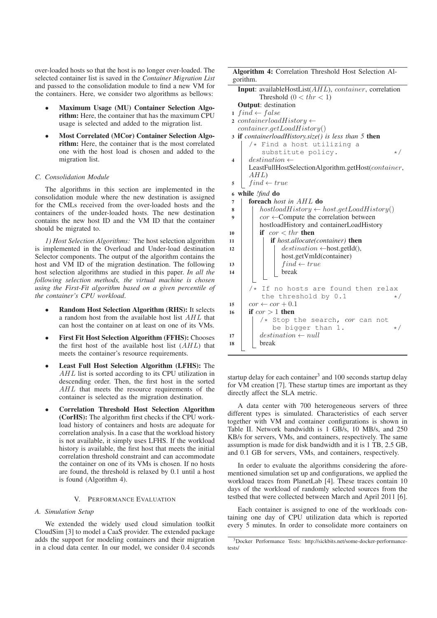over-loaded hosts so that the host is no longer over-loaded. The selected container list is saved in the *Container Migration List* and passed to the consolidation module to find a new VM for the containers. Here, we consider two algorithms as bellows:

- Maximum Usage (MU) Container Selection Algorithm: Here, the container that has the maximum CPU usage is selected and added to the migration list.
- Most Correlated (MCor) Container Selection Algorithm: Here, the container that is the most correlated one with the host load is chosen and added to the migration list.

# *C. Consolidation Module*

The algorithms in this section are implemented in the consolidation module where the new destination is assigned for the CMLs received from the over-loaded hosts and the containers of the under-loaded hosts. The new destination contains the new host ID and the VM ID that the container should be migrated to.

*1) Host Selection Algorithms:* The host selection algorithm is implemented in the Overload and Under-load destination Selector components. The output of the algorithm contains the host and VM ID of the migration destination. The following host selection algorithms are studied in this paper. *In all the following selection methods, the virtual machine is chosen using the First-Fit algorithm based on a given percentile of the container's CPU workload*.

- Random Host Selection Algorithm (RHS): It selects a random host from the available host list AHL that can host the container on at least on one of its VMs.
- First Fit Host Selection Algorithm (FFHS): Chooses the first host of the available host list  $(AHL)$  that meets the container's resource requirements.
- Least Full Host Selection Algorithm (LFHS): The AHL list is sorted according to its CPU utilization in descending order. Then, the first host in the sorted AHL that meets the resource requirements of the container is selected as the migration destination.
- Correlation Threshold Host Selection Algorithm (CorHS): The algorithm first checks if the CPU workload history of containers and hosts are adequate for correlation analysis. In a case that the workload history is not available, it simply uses LFHS. If the workload history is available, the first host that meets the initial correlation threshold constraint and can accommodate the container on one of its VMs is chosen. If no hosts are found, the threshold is relaxed by 0.1 until a host is found (Algorithm 4).

# V. PERFORMANCE EVALUATION

# *A. Simulation Setup*

We extended the widely used cloud simulation toolkit CloudSim [3] to model a CaaS provider. The extended package adds the support for modeling containers and their migration in a cloud data center. In our model, we consider 0.4 seconds

Algorithm 4: Correlation Threshold Host Selection Algorithm.

|    | 5011unii                                              |
|----|-------------------------------------------------------|
|    | Input: availableHostList(AHL), container, correlation |
|    | Threshold $(0 < thr < 1)$                             |
|    | <b>Output:</b> destination                            |
|    | $1 \text{ find} \leftarrow false$                     |
|    | 2 containerloadHistory $\leftarrow$                   |
|    | container.getLoadHistory()                            |
|    | 3 if containerloadHistory.size() is less than 5 then  |
|    | /* Find a host utilizing a                            |
|    | substitute policy.<br>$\star/$                        |
| 4  | $destination \leftarrow$                              |
|    | LeastFullHostSelectionAlgorithm.getHost(container,    |
|    | AHL                                                   |
| 5  | $find \leftarrow true$                                |
| 6  | while <i>!find</i> do                                 |
| 7  | foreach <i>host in AHL</i> do                         |
| 8  | $hostloadHistory \leftarrow host.getLoadHistory()$    |
| 9  | $cor \leftarrow$ Compute the correlation between      |
|    | hostloadHistory and containerLoadHistory              |
| 10 | if $\cos < thr$ then                                  |
| 11 | if host.allocate(container) then                      |
| 12 | $destination \leftarrow host.getId(),$                |
|    | host.getVmId(container)                               |
| 13 | $find \leftarrow true$                                |
| 14 | break                                                 |
|    |                                                       |
|    | $/*$ If no hosts are found then relax                 |
|    | the threshold by 0.1<br>$\star/$                      |
| 15 | $cor \leftarrow cor + 0.1$                            |
| 16 | if $cor > 1$ then                                     |
|    | $/*$ Stop the search, cor can not                     |
|    | be bigger than 1.<br>$\star/$                         |
| 17 | $destination \leftarrow null$                         |
| 18 | break                                                 |
|    |                                                       |

startup delay for each container<sup>3</sup> and 100 seconds startup delay for VM creation [7]. These startup times are important as they directly affect the SLA metric.

A data center with 700 heterogeneous servers of three different types is simulated. Characteristics of each server together with VM and container configurations is shown in Table II. Network bandwidth is 1 GB/s, 10 MB/s, and 250 KB/s for servers, VMs, and containers, respectively. The same assumption is made for disk bandwidth and it is 1 TB, 2.5 GB, and 0.1 GB for servers, VMs, and containers, respectively.

In order to evaluate the algorithms considering the aforementioned simulation set up and configurations, we applied the workload traces from PlanetLab [4]. These traces contain 10 days of the workload of randomly selected sources from the testbed that were collected between March and April 2011 [6].

Each container is assigned to one of the workloads containing one day of CPU utilization data which is reported every 5 minutes. In order to consolidate more containers on

<sup>3</sup>Docker Performance Tests: http://sickbits.net/some-docker-performancetests/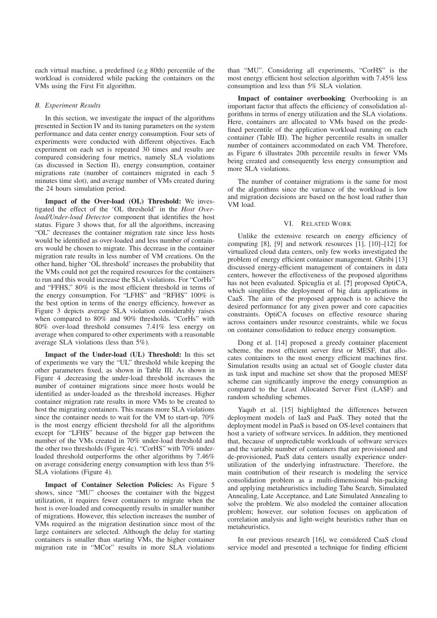each virtual machine, a predefined (e.g 80th) percentile of the workload is considered while packing the containers on the VMs using the First Fit algorithm.

## *B. Experiment Results*

In this section, we investigate the impact of the algorithms presented in Section IV and its tuning parameters on the system performance and data center energy consumption. Four sets of experiments were conducted with different objectives. Each experiment on each set is repeated 30 times and results are compared considering four metrics, namely SLA violations (as discussed in Section II), energy consumption, container migrations rate (number of containers migrated in each 5 minutes time slot), and average number of VMs created during the 24 hours simulation period.

Impact of the Over-load (OL) Threshold: We investigated the effect of the 'OL threshold' in the *Host Overload/Under-load Detector* component that identifies the host status. Figure 3 shows that, for all the algorithms, increasing "OL" decreases the container migration rate since less hosts would be identified as over-loaded and less number of containers would be chosen to migrate. This decrease in the container migration rate results in less number of VM creations. On the other hand, higher 'OL threshold' increases the probability that the VMs could not get the required resources for the containers to run and this would increase the SLA violations. For "CorHs" and "FFHS," 80% is the most efficient threshold in terms of the energy consumption. For "LFHS" and "RFHS" 100% is the best option in terms of the energy efficiency, however as Figure 3 depicts average SLA violation considerably raises when compared to 80% and 90% thresholds. "CorHs" with 80% over-load threshold consumes 7.41% less energy on average when compared to other experiments with a reasonable average SLA violations (less than 5%).

Impact of the Under-load (UL) Threshold: In this set of experiments we vary the "UL" threshold while keeping the other parameters fixed, as shown in Table III. As shown in Figure 4 ,decreasing the under-load threshold increases the number of container migrations since more hosts would be identified as under-loaded as the threshold increases. Higher container migration rate results in more VMs to be created to host the migrating containers. This means more SLA violations since the container needs to wait for the VM to start-up. 70% is the most energy efficient threshold for all the algorithms except for "LFHS" because of the bigger gap between the number of the VMs created in 70% under-load threshold and the other two thresholds (Figure 4c). "CorHS" with 70% underloaded threshold outperforms the other algorithms by 7.46% on average considering energy consumption with less than 5% SLA violations (Figure 4).

Impact of Container Selection Policies: As Figure 5 shows, since "MU" chooses the container with the biggest utilization, it requires fewer containers to migrate when the host is over-loaded and consequently results in smaller number of migrations. However, this selection increases the number of VMs required as the migration destination since most of the large containers are selected. Although the delay for starting containers is smaller than starting VMs, the higher container migration rate in "MCor" results in more SLA violations than "MU". Considering all experiments, "CorHS" is the most energy efficient host selection algorithm with 7.45% less consumption and less than 5% SLA violation.

Impact of container overbooking: Overbooking is an important factor that affects the efficiency of consolidation algorithms in terms of energy utilization and the SLA violations. Here, containers are allocated to VMs based on the predefined percentile of the application workload running on each container (Table III). The higher percentile results in smaller number of containers accommodated on each VM. Therefore, as Figure 6 illustrates 20th percentile results in fewer VMs being created and consequently less energy consumption and more SLA violations.

The number of container migrations is the same for most of the algorithms since the variance of the workload is low and migration decisions are based on the host load rather than VM load.

## VI. RELATED WORK

Unlike the extensive research on energy efficiency of computing [8], [9] and network resources [1], [10]–[12] for virtualized cloud data centers, only few works investigated the problem of energy efficient container management. Ghribi [13] discussed energy-efficient management of containers in data centers, however the effectiveness of the proposed algorithms has not been evaluated. Spicuglia et al. [?] proposed OptiCA, which simplifies the deployment of big data applications in CaaS. The aim of the proposed approach is to achieve the desired performance for any given power and core capacities constraints. OptiCA focuses on effective resource sharing across containers under resource constraints, while we focus on container consolidation to reduce energy consumption.

Dong et al. [14] proposed a greedy container placement scheme, the most efficient server first or MESF, that allocates containers to the most energy efficient machines first. Simulation results using an actual set of Google cluster data as task input and machine set show that the proposed MESF scheme can significantly improve the energy consumption as compared to the Least Allocated Server First (LASF) and random scheduling schemes.

Yaqub et al. [15] highlighted the differences between deployment models of IaaS and PaaS. They noted that the deployment model in PaaS is based on OS-level containers that host a variety of software services. In addition, they mentioned that, because of unpredictable workloads of software services and the variable number of containers that are provisioned and de-provisioned, PaaS data centers usually experience underutilization of the underlying infrastructure. Therefore, the main contribution of their research is modeling the service consolidation problem as a multi-dimensional bin-packing and applying metaheuristics including Tabu Search, Simulated Annealing, Late Acceptance, and Late Simulated Annealing to solve the problem. We also modeled the container allocation problem; however, our solution focuses on application of correlation analysis and light-weight heuristics rather than on metaheuristics.

In our previous research [16], we considered CaaS cloud service model and presented a technique for finding efficient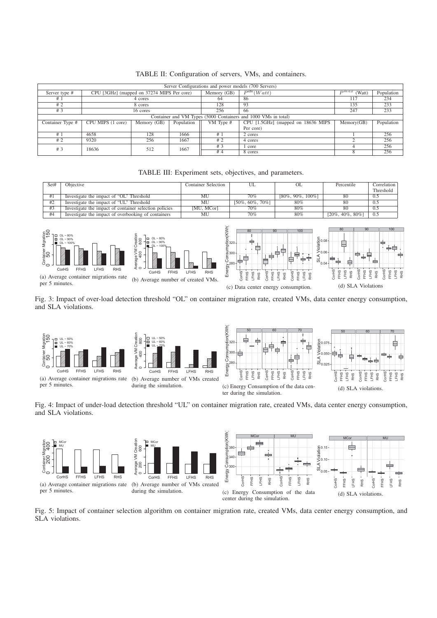|                                                                |                                            |             |            | Server Configurations and power models (700 Servers) |                                    |                  |            |
|----------------------------------------------------------------|--------------------------------------------|-------------|------------|------------------------------------------------------|------------------------------------|------------------|------------|
| Server type #                                                  | CPU [3GHz] (mapped on 37274 MIPS Per core) |             |            | Memory (GB)                                          | $P^{\text{idle}}(Watt)$            | $P^{max}$ (Watt) | Population |
| #1                                                             | 4 cores                                    |             |            | 64                                                   | 86                                 | 117              | 234        |
| #2                                                             | 8 cores                                    |             |            | 128                                                  | 93                                 | 135              | 233        |
| #3                                                             | 16 cores                                   |             |            | 256                                                  | 66                                 | 247              | 233        |
| Container and VM Types (5000 Containers and 1000 VMs in total) |                                            |             |            |                                                      |                                    |                  |            |
| Container Type #                                               | CPU MIPS (1 core)                          | Memory (GB) | Population | VM Type #                                            | CPU [1.5GHz] (mapped on 18636 MIPS | Memory(GB)       | Population |
|                                                                |                                            |             |            |                                                      | Per core)                          |                  |            |
| #1                                                             | 4658                                       | 128         | 1666       | #1                                                   | 2 cores                            |                  | 256        |
| #2                                                             | 9320                                       | 256         | 1667       | #2                                                   | 4 cores                            |                  | 256        |
| #3                                                             | 18636                                      | 512         | 1667       | #3                                                   | core                               | $\overline{4}$   | 256        |
|                                                                |                                            |             |            | #4                                                   | 8 cores                            |                  | 256        |

TABLE II: Configuration of servers, VMs, and containers.

TABLE III: Experiment sets, objectives, and parameters.

| Set# | Obiective                                              | Container Selection | UL                 | OL                  | Percentile      | Correlation |
|------|--------------------------------------------------------|---------------------|--------------------|---------------------|-----------------|-------------|
|      |                                                        |                     |                    |                     |                 | Threshold   |
| #1   | Investigate the impact of "OL" Threshold               | MU                  | 70%                | $180\%$ , 90%, 100% | 80              | 0.5         |
| #2   | Investigate the impact of "UL" Threshold               | MU                  | $150\%$ , 60%, 70% | 80%                 | 80              | 0.5         |
| #3   | Investigate the impact of container selection policies | [MU, MCorl]         | 70%                | 80%                 |                 | 0.5         |
| #4   | Investigate the impact of overbooking of containers    | MU                  | 70%                | 80%                 | [20%, 40%, 80%] | 0.5         |





Fig. 3: Impact of over-load detection threshold "OL" on container migration rate, created VMs, data center energy consumption, and SLA violations.





(b) Average number of VMs created during the simulation.



Fig. 4: Impact of under-load detection threshold "UL" on container migration rate, created VMs, data center energy consumption, and SLA violations.





RHS CorHS FFHS LFHS RHS

Fig. 5: Impact of container selection algorithm on container migration rate, created VMs, data center energy consumption, and SLA violations.